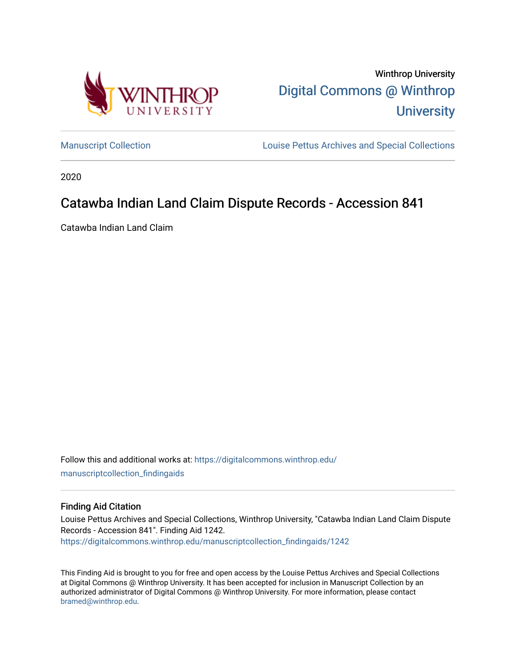

Winthrop University [Digital Commons @ Winthrop](https://digitalcommons.winthrop.edu/)  **University** 

[Manuscript Collection](https://digitalcommons.winthrop.edu/manuscriptcollection_findingaids) **Louise Pettus Archives and Special Collections** 

2020

# Catawba Indian Land Claim Dispute Records - Accession 841

Catawba Indian Land Claim

Follow this and additional works at: [https://digitalcommons.winthrop.edu/](https://digitalcommons.winthrop.edu/manuscriptcollection_findingaids?utm_source=digitalcommons.winthrop.edu%2Fmanuscriptcollection_findingaids%2F1242&utm_medium=PDF&utm_campaign=PDFCoverPages) [manuscriptcollection\\_findingaids](https://digitalcommons.winthrop.edu/manuscriptcollection_findingaids?utm_source=digitalcommons.winthrop.edu%2Fmanuscriptcollection_findingaids%2F1242&utm_medium=PDF&utm_campaign=PDFCoverPages) 

#### Finding Aid Citation

Louise Pettus Archives and Special Collections, Winthrop University, "Catawba Indian Land Claim Dispute Records - Accession 841". Finding Aid 1242. [https://digitalcommons.winthrop.edu/manuscriptcollection\\_findingaids/1242](https://digitalcommons.winthrop.edu/manuscriptcollection_findingaids/1242?utm_source=digitalcommons.winthrop.edu%2Fmanuscriptcollection_findingaids%2F1242&utm_medium=PDF&utm_campaign=PDFCoverPages) 

This Finding Aid is brought to you for free and open access by the Louise Pettus Archives and Special Collections at Digital Commons @ Winthrop University. It has been accepted for inclusion in Manuscript Collection by an authorized administrator of Digital Commons @ Winthrop University. For more information, please contact [bramed@winthrop.edu.](mailto:bramed@winthrop.edu)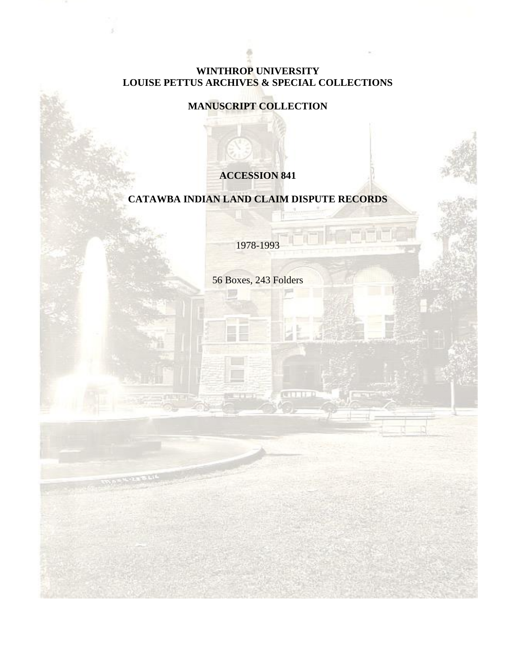# **WINTHROP UNIVERSITY LOUISE PETTUS ARCHIVES & SPECIAL COLLECTIONS**

# **MANUSCRIPT COLLECTION**

# **ACCESSION 841**

# **CATAWBA INDIAN LAND CLAIM DISPUTE RECORDS**

1978-1993

56 Boxes, 243 Folders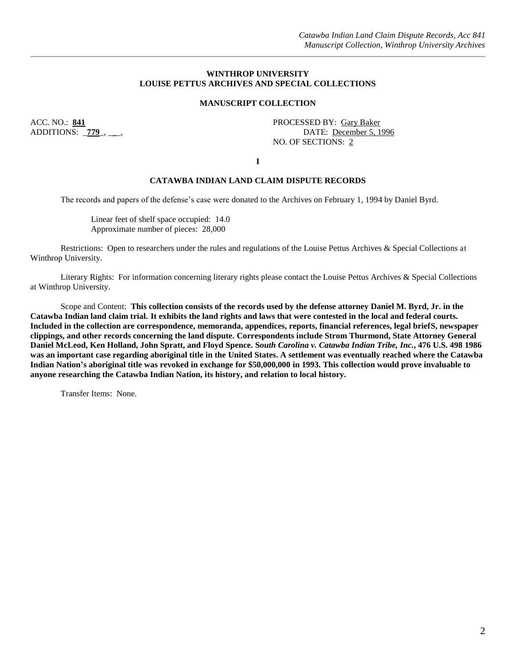#### **WINTHROP UNIVERSITY LOUISE PETTUS ARCHIVES AND SPECIAL COLLECTIONS**

#### **MANUSCRIPT COLLECTION**

ACC. NO.: **841**<br>ADDITIONS: **779**, **....**, **Example 20** PROCESSED BY: **Gary Baker**<br>DATE: <u>December 5, 1</u> DATE: December 5, 1996 NO. OF SECTIONS: 2

**I**

#### **CATAWBA INDIAN LAND CLAIM DISPUTE RECORDS**

The records and papers of the defense's case were donated to the Archives on February 1, 1994 by Daniel Byrd.

Linear feet of shelf space occupied: 14.0 Approximate number of pieces: 28,000

Restrictions: Open to researchers under the rules and regulations of the Louise Pettus Archives & Special Collections at Winthrop University.

Literary Rights: For information concerning literary rights please contact the Louise Pettus Archives & Special Collections at Winthrop University.

Scope and Content: **This collection consists of the records used by the defense attorney Daniel M. Byrd, Jr. in the Catawba Indian land claim trial. It exhibits the land rights and laws that were contested in the local and federal courts. Included in the collection are correspondence, memoranda, appendices, reports, financial references, legal briefS, newspaper clippings, and other records concerning the land dispute. Correspondents include Strom Thurmond, State Attorney General Daniel McLeod, Ken Holland, John Spratt, and Floyd Spence. S***outh Carolina v. Catawba Indian Tribe, Inc.***, 476 U.S. 498 1986 was an important case regarding aboriginal title in the United States. A settlement was eventually reached where the Catawba Indian Nation's aboriginal title was revoked in exchange for \$50,000,000 in 1993. This collection would prove invaluable to anyone researching the Catawba Indian Nation, its history, and relation to local history.**

Transfer Items: None.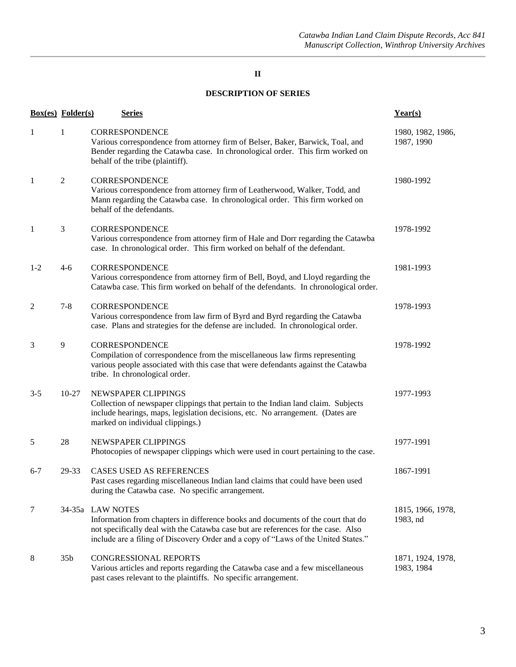### **DESCRIPTION OF SERIES**

|         | <b>Box(es)</b> Folder(s)<br><b>Series</b> |                                                                                                                                                                                                                                                                                 | Year(s)                         |  |
|---------|-------------------------------------------|---------------------------------------------------------------------------------------------------------------------------------------------------------------------------------------------------------------------------------------------------------------------------------|---------------------------------|--|
| 1       | 1                                         | 1980, 1982, 1986,<br>1987, 1990                                                                                                                                                                                                                                                 |                                 |  |
| -1      | $\mathfrak{2}$                            | CORRESPONDENCE<br>Various correspondence from attorney firm of Leatherwood, Walker, Todd, and<br>Mann regarding the Catawba case. In chronological order. This firm worked on<br>behalf of the defendants.                                                                      | 1980-1992                       |  |
| 1       | 3                                         | <b>CORRESPONDENCE</b><br>Various correspondence from attorney firm of Hale and Dorr regarding the Catawba<br>case. In chronological order. This firm worked on behalf of the defendant.                                                                                         | 1978-1992                       |  |
| $1 - 2$ | $4-6$                                     | CORRESPONDENCE<br>Various correspondence from attorney firm of Bell, Boyd, and Lloyd regarding the<br>Catawba case. This firm worked on behalf of the defendants. In chronological order.                                                                                       | 1981-1993                       |  |
| 2       | $7 - 8$                                   | CORRESPONDENCE<br>Various correspondence from law firm of Byrd and Byrd regarding the Catawba<br>case. Plans and strategies for the defense are included. In chronological order.                                                                                               | 1978-1993                       |  |
| 3       | 9                                         | <b>CORRESPONDENCE</b><br>Compilation of correspondence from the miscellaneous law firms representing<br>various people associated with this case that were defendants against the Catawba<br>tribe. In chronological order.                                                     | 1978-1992                       |  |
| $3 - 5$ | $10-27$                                   | NEWSPAPER CLIPPINGS<br>Collection of newspaper clippings that pertain to the Indian land claim. Subjects<br>include hearings, maps, legislation decisions, etc. No arrangement. (Dates are<br>marked on individual clippings.)                                                  | 1977-1993                       |  |
| 5       | 28                                        | NEWSPAPER CLIPPINGS<br>Photocopies of newspaper clippings which were used in court pertaining to the case.                                                                                                                                                                      | 1977-1991                       |  |
| $6 - 7$ | 29-33                                     | CASES USED AS REFERENCES<br>Past cases regarding miscellaneous Indian land claims that could have been used<br>during the Catawba case. No specific arrangement.                                                                                                                | 1867-1991                       |  |
| 7       |                                           | 34-35a LAW NOTES<br>Information from chapters in difference books and documents of the court that do<br>not specifically deal with the Catawba case but are references for the case. Also<br>include are a filing of Discovery Order and a copy of "Laws of the United States." | 1815, 1966, 1978,<br>1983, nd   |  |
| 8       | 35 <sub>b</sub>                           | CONGRESSIONAL REPORTS<br>Various articles and reports regarding the Catawba case and a few miscellaneous<br>past cases relevant to the plaintiffs. No specific arrangement.                                                                                                     | 1871, 1924, 1978,<br>1983, 1984 |  |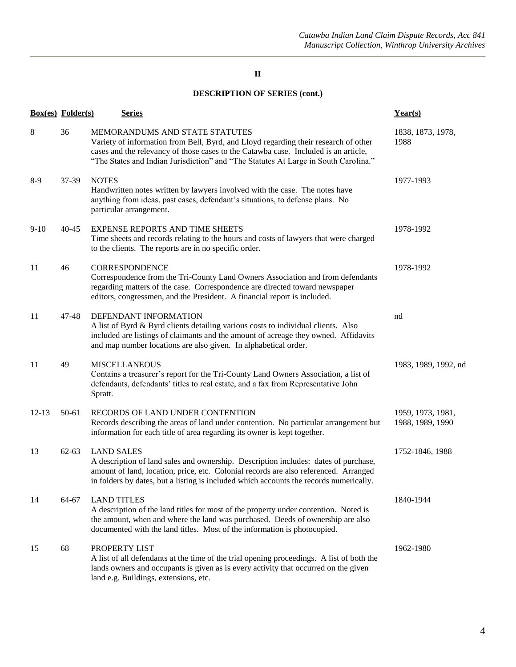|           | <b>Box(es)</b> Folder(s) | <b>Series</b>                                                                                                                                                                                                                                                                                       | Year(s)                               |  |
|-----------|--------------------------|-----------------------------------------------------------------------------------------------------------------------------------------------------------------------------------------------------------------------------------------------------------------------------------------------------|---------------------------------------|--|
| 8         | 36                       | MEMORANDUMS AND STATE STATUTES<br>Variety of information from Bell, Byrd, and Lloyd regarding their research of other<br>cases and the relevancy of those cases to the Catawba case. Included is an article,<br>"The States and Indian Jurisdiction" and "The Statutes At Large in South Carolina." | 1838, 1873, 1978,<br>1988             |  |
| $8-9$     | 37-39                    | <b>NOTES</b><br>Handwritten notes written by lawyers involved with the case. The notes have<br>anything from ideas, past cases, defendant's situations, to defense plans. No<br>particular arrangement.                                                                                             | 1977-1993                             |  |
| $9-10$    | $40 - 45$                | <b>EXPENSE REPORTS AND TIME SHEETS</b><br>Time sheets and records relating to the hours and costs of lawyers that were charged<br>to the clients. The reports are in no specific order.                                                                                                             | 1978-1992                             |  |
| 11        | 46                       | <b>CORRESPONDENCE</b><br>Correspondence from the Tri-County Land Owners Association and from defendants<br>regarding matters of the case. Correspondence are directed toward newspaper<br>editors, congressmen, and the President. A financial report is included.                                  | 1978-1992                             |  |
| 11        | 47-48                    | DEFENDANT INFORMATION<br>A list of Byrd & Byrd clients detailing various costs to individual clients. Also<br>included are listings of claimants and the amount of acreage they owned. Affidavits<br>and map number locations are also given. In alphabetical order.                                | nd                                    |  |
| 11        | 49                       | <b>MISCELLANEOUS</b><br>Contains a treasurer's report for the Tri-County Land Owners Association, a list of<br>defendants, defendants' titles to real estate, and a fax from Representative John<br>Spratt.                                                                                         | 1983, 1989, 1992, nd                  |  |
| $12 - 13$ | 50-61                    | RECORDS OF LAND UNDER CONTENTION<br>Records describing the areas of land under contention. No particular arrangement but<br>information for each title of area regarding its owner is kept together.                                                                                                | 1959, 1973, 1981,<br>1988, 1989, 1990 |  |
| 13        | $62 - 63$                | <b>LAND SALES</b><br>A description of land sales and ownership. Description includes: dates of purchase,<br>amount of land, location, price, etc. Colonial records are also referenced. Arranged<br>in folders by dates, but a listing is included which accounts the records numerically.          | 1752-1846, 1988                       |  |
| 14        | 64-67                    | <b>LAND TITLES</b><br>A description of the land titles for most of the property under contention. Noted is<br>the amount, when and where the land was purchased. Deeds of ownership are also<br>documented with the land titles. Most of the information is photocopied.                            | 1840-1944                             |  |
| 15        | 68                       | PROPERTY LIST<br>A list of all defendants at the time of the trial opening proceedings. A list of both the<br>lands owners and occupants is given as is every activity that occurred on the given<br>land e.g. Buildings, extensions, etc.                                                          | 1962-1980                             |  |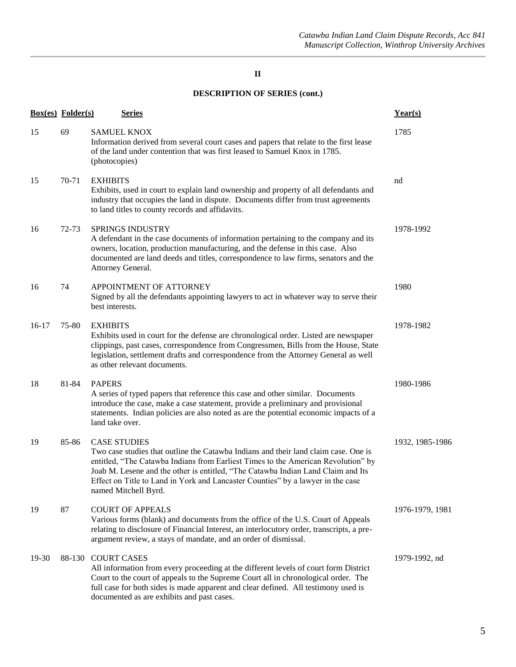|         | <b>Box(es)</b> Folder(s) | <b>Series</b>                                                                                                                                                                                                                                                                                                                                                                                  | Year(s)         |
|---------|--------------------------|------------------------------------------------------------------------------------------------------------------------------------------------------------------------------------------------------------------------------------------------------------------------------------------------------------------------------------------------------------------------------------------------|-----------------|
| 15      | 69                       | <b>SAMUEL KNOX</b><br>Information derived from several court cases and papers that relate to the first lease<br>of the land under contention that was first leased to Samuel Knox in 1785.<br>(photocopies)                                                                                                                                                                                    | 1785            |
| 15      | 70-71                    | <b>EXHIBITS</b><br>Exhibits, used in court to explain land ownership and property of all defendants and<br>industry that occupies the land in dispute. Documents differ from trust agreements<br>to land titles to county records and affidavits.                                                                                                                                              | nd              |
| 16      | $72 - 73$                | <b>SPRINGS INDUSTRY</b><br>A defendant in the case documents of information pertaining to the company and its<br>owners, location, production manufacturing, and the defense in this case. Also<br>documented are land deeds and titles, correspondence to law firms, senators and the<br>Attorney General.                                                                                    | 1978-1992       |
| 16      | 74                       | APPOINTMENT OF ATTORNEY<br>Signed by all the defendants appointing lawyers to act in whatever way to serve their<br>best interests.                                                                                                                                                                                                                                                            | 1980            |
| $16-17$ | 75-80                    | <b>EXHIBITS</b><br>Exhibits used in court for the defense are chronological order. Listed are newspaper<br>clippings, past cases, correspondence from Congressmen, Bills from the House, State<br>legislation, settlement drafts and correspondence from the Attorney General as well<br>as other relevant documents.                                                                          | 1978-1982       |
| 18      | 81-84                    | <b>PAPERS</b><br>A series of typed papers that reference this case and other similar. Documents<br>introduce the case, make a case statement, provide a preliminary and provisional<br>statements. Indian policies are also noted as are the potential economic impacts of a<br>land take over.                                                                                                | 1980-1986       |
| 19      | 85-86                    | <b>CASE STUDIES</b><br>Two case studies that outline the Catawba Indians and their land claim case. One is<br>entitled, "The Catawba Indians from Earliest Times to the American Revolution" by<br>Joab M. Lesene and the other is entitled, "The Catawba Indian Land Claim and Its<br>Effect on Title to Land in York and Lancaster Counties" by a lawyer in the case<br>named Mitchell Byrd. | 1932, 1985-1986 |
| 19      | 87                       | <b>COURT OF APPEALS</b><br>Various forms (blank) and documents from the office of the U.S. Court of Appeals<br>relating to disclosure of Financial Interest, an interlocutory order, transcripts, a pre-<br>argument review, a stays of mandate, and an order of dismissal.                                                                                                                    | 1976-1979, 1981 |
| 19-30   | 88-130                   | <b>COURT CASES</b><br>All information from every proceeding at the different levels of court form District<br>Court to the court of appeals to the Supreme Court all in chronological order. The<br>full case for both sides is made apparent and clear defined. All testimony used is<br>documented as are exhibits and past cases.                                                           | 1979-1992, nd   |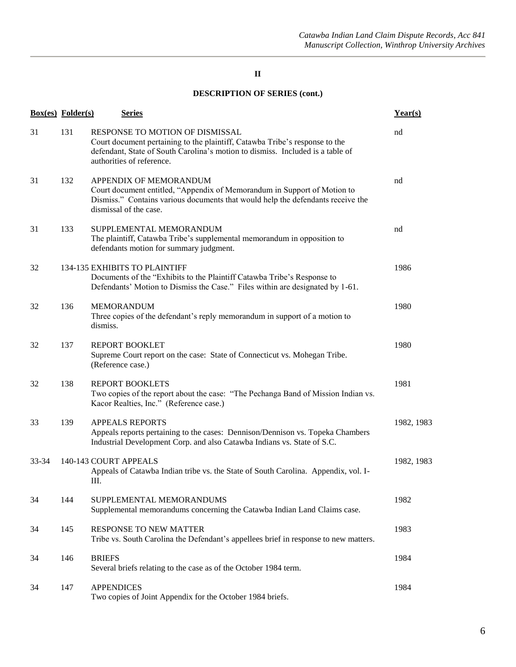|           | Box(es) Folder(s) | <b>Series</b>                                                                                                                                                                                                                 | Year(s)    |
|-----------|-------------------|-------------------------------------------------------------------------------------------------------------------------------------------------------------------------------------------------------------------------------|------------|
| 31        | 131               | RESPONSE TO MOTION OF DISMISSAL<br>Court document pertaining to the plaintiff, Catawba Tribe's response to the<br>defendant, State of South Carolina's motion to dismiss. Included is a table of<br>authorities of reference. | nd         |
| 31        | 132               | APPENDIX OF MEMORANDUM<br>Court document entitled, "Appendix of Memorandum in Support of Motion to<br>Dismiss." Contains various documents that would help the defendants receive the<br>dismissal of the case.               | nd         |
| 31        | 133               | SUPPLEMENTAL MEMORANDUM<br>The plaintiff, Catawba Tribe's supplemental memorandum in opposition to<br>defendants motion for summary judgment.                                                                                 | nd         |
| 32        |                   | 134-135 EXHIBITS TO PLAINTIFF<br>Documents of the "Exhibits to the Plaintiff Catawba Tribe's Response to<br>Defendants' Motion to Dismiss the Case." Files within are designated by 1-61.                                     | 1986       |
| 32        | 136               | <b>MEMORANDUM</b><br>Three copies of the defendant's reply memorandum in support of a motion to<br>dismiss.                                                                                                                   | 1980       |
| 32        | 137               | <b>REPORT BOOKLET</b><br>Supreme Court report on the case: State of Connecticut vs. Mohegan Tribe.<br>(Reference case.)                                                                                                       | 1980       |
| 32        | 138               | <b>REPORT BOOKLETS</b><br>Two copies of the report about the case: "The Pechanga Band of Mission Indian vs.<br>Kacor Realties, Inc." (Reference case.)                                                                        | 1981       |
| 33        | 139               | <b>APPEALS REPORTS</b><br>Appeals reports pertaining to the cases: Dennison/Dennison vs. Topeka Chambers<br>Industrial Development Corp. and also Catawba Indians vs. State of S.C.                                           | 1982, 1983 |
| $33 - 34$ |                   | 140-143 COURT APPEALS<br>Appeals of Catawba Indian tribe vs. the State of South Carolina. Appendix, vol. I-<br>Ш.                                                                                                             | 1982, 1983 |
| 34        | 144               | SUPPLEMENTAL MEMORANDUMS<br>Supplemental memorandums concerning the Catawba Indian Land Claims case.                                                                                                                          | 1982       |
| 34        | 145               | RESPONSE TO NEW MATTER<br>Tribe vs. South Carolina the Defendant's appellees brief in response to new matters.                                                                                                                | 1983       |
| 34        | 146               | <b>BRIEFS</b><br>Several briefs relating to the case as of the October 1984 term.                                                                                                                                             | 1984       |
| 34        | 147               | <b>APPENDICES</b><br>Two copies of Joint Appendix for the October 1984 briefs.                                                                                                                                                | 1984       |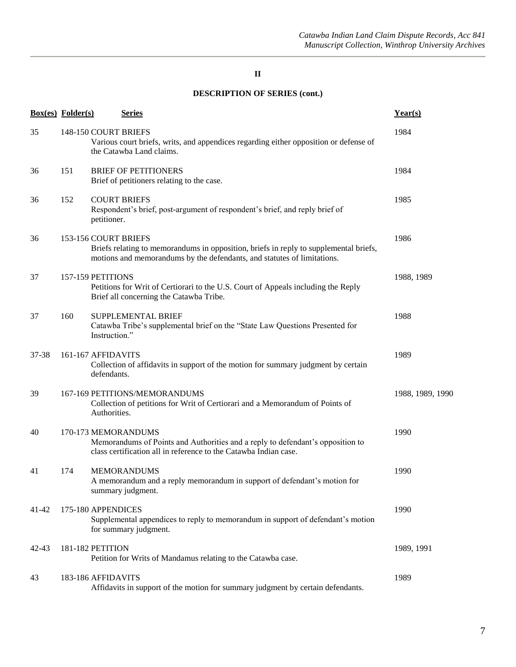| <b>Box(es)</b> Folder(s) |     | <b>Series</b>                                                                                                                                                                            | Year(s)          |
|--------------------------|-----|------------------------------------------------------------------------------------------------------------------------------------------------------------------------------------------|------------------|
| 35                       |     | 148-150 COURT BRIEFS<br>Various court briefs, writs, and appendices regarding either opposition or defense of<br>the Catawba Land claims.                                                | 1984             |
| 36                       | 151 | <b>BRIEF OF PETITIONERS</b><br>Brief of petitioners relating to the case.                                                                                                                | 1984             |
| 36                       | 152 | <b>COURT BRIEFS</b><br>Respondent's brief, post-argument of respondent's brief, and reply brief of<br>petitioner.                                                                        | 1985             |
| 36                       |     | 153-156 COURT BRIEFS<br>Briefs relating to memorandums in opposition, briefs in reply to supplemental briefs,<br>motions and memorandums by the defendants, and statutes of limitations. | 1986             |
| 37                       |     | 157-159 PETITIONS<br>Petitions for Writ of Certiorari to the U.S. Court of Appeals including the Reply<br>Brief all concerning the Catawba Tribe.                                        | 1988, 1989       |
| 37                       | 160 | SUPPLEMENTAL BRIEF<br>Catawba Tribe's supplemental brief on the "State Law Questions Presented for<br>Instruction."                                                                      | 1988             |
| 37-38                    |     | 161-167 AFFIDAVITS<br>Collection of affidavits in support of the motion for summary judgment by certain<br>defendants.                                                                   | 1989             |
| 39                       |     | 167-169 PETITIONS/MEMORANDUMS<br>Collection of petitions for Writ of Certiorari and a Memorandum of Points of<br>Authorities.                                                            | 1988, 1989, 1990 |
| 40                       |     | 170-173 MEMORANDUMS<br>Memorandums of Points and Authorities and a reply to defendant's opposition to<br>class certification all in reference to the Catawba Indian case.                | 1990             |
| 41                       | 174 | <b>MEMORANDUMS</b><br>A memorandum and a reply memorandum in support of defendant's motion for<br>summary judgment.                                                                      | 1990             |
| $41 - 42$                |     | 175-180 APPENDICES<br>Supplemental appendices to reply to memorandum in support of defendant's motion<br>for summary judgment.                                                           | 1990             |
| $42 - 43$                |     | 181-182 PETITION<br>Petition for Writs of Mandamus relating to the Catawba case.                                                                                                         | 1989, 1991       |
| 43                       |     | 183-186 AFFIDAVITS<br>Affidavits in support of the motion for summary judgment by certain defendants.                                                                                    | 1989             |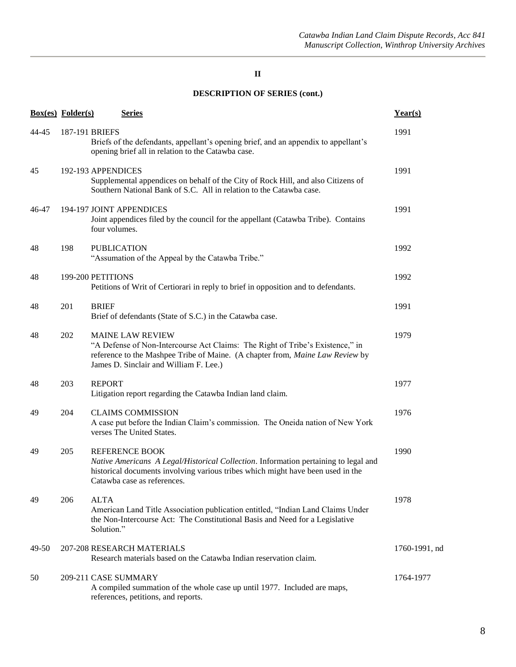|       | <b>Box(es)</b> Folder(s) | <b>Series</b>                                                                                                                                                                                                                       | Year(s)            |
|-------|--------------------------|-------------------------------------------------------------------------------------------------------------------------------------------------------------------------------------------------------------------------------------|--------------------|
| 44-45 |                          | 187-191 BRIEFS<br>Briefs of the defendants, appellant's opening brief, and an appendix to appellant's<br>opening brief all in relation to the Catawba case.                                                                         | 1991               |
| 45    |                          | 192-193 APPENDICES<br>Supplemental appendices on behalf of the City of Rock Hill, and also Citizens of<br>Southern National Bank of S.C. All in relation to the Catawba case.                                                       | 1991               |
| 46-47 |                          | 194-197 JOINT APPENDICES<br>Joint appendices filed by the council for the appellant (Catawba Tribe). Contains<br>four volumes.                                                                                                      | 1991               |
| 48    | 198                      | <b>PUBLICATION</b><br>"Assumation of the Appeal by the Catawba Tribe."                                                                                                                                                              | 1992               |
| 48    |                          | 199-200 PETITIONS<br>Petitions of Writ of Certiorari in reply to brief in opposition and to defendants.                                                                                                                             | 1992               |
| 48    | 201                      | <b>BRIEF</b><br>Brief of defendants (State of S.C.) in the Catawba case.                                                                                                                                                            | 1991               |
| 48    | 202                      | <b>MAINE LAW REVIEW</b><br>"A Defense of Non-Intercourse Act Claims: The Right of Tribe's Existence," in<br>reference to the Mashpee Tribe of Maine. (A chapter from, Maine Law Review by<br>James D. Sinclair and William F. Lee.) | 1979               |
| 48    | 203                      | <b>REPORT</b><br>Litigation report regarding the Catawba Indian land claim.                                                                                                                                                         | 1977               |
| 49    | 204                      | <b>CLAIMS COMMISSION</b><br>A case put before the Indian Claim's commission. The Oneida nation of New York<br>verses The United States.                                                                                             | 1976               |
| 49    | 205                      | <b>REFERENCE BOOK</b><br>Native Americans A Legal/Historical Collection. Information pertaining to legal and<br>historical documents involving various tribes which might have been used in the<br>Catawba case as references.      | 1990               |
| 49    | 206                      | <b>ALTA</b><br>American Land Title Association publication entitled, "Indian Land Claims Under<br>the Non-Intercourse Act: The Constitutional Basis and Need for a Legislative<br>Solution."                                        | 1978               |
| 49-50 |                          | 207-208 RESEARCH MATERIALS<br>Research materials based on the Catawba Indian reservation claim.                                                                                                                                     | $1760 - 1991$ , nd |
| 50    |                          | 209-211 CASE SUMMARY<br>A compiled summation of the whole case up until 1977. Included are maps,<br>references, petitions, and reports.                                                                                             | 1764-1977          |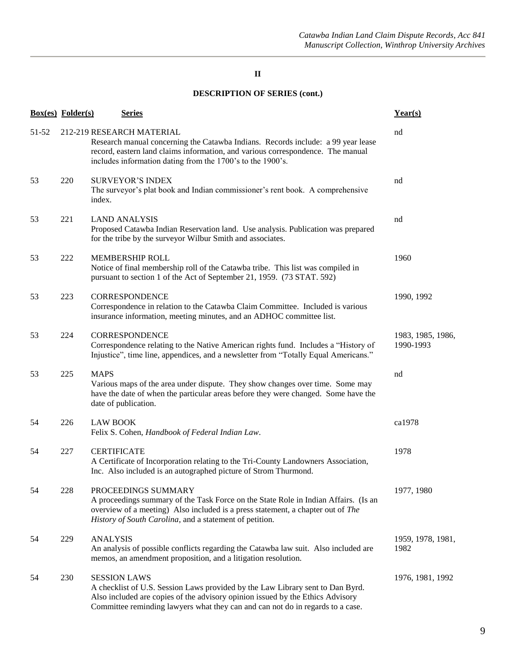|       | <b>Box(es)</b> Folder(s) | <b>Series</b>                                                                                                                                                                                                                                                             | Year(s)                        |
|-------|--------------------------|---------------------------------------------------------------------------------------------------------------------------------------------------------------------------------------------------------------------------------------------------------------------------|--------------------------------|
| 51-52 |                          | 212-219 RESEARCH MATERIAL<br>Research manual concerning the Catawba Indians. Records include: a 99 year lease<br>record, eastern land claims information, and various correspondence. The manual<br>includes information dating from the 1700's to the 1900's.            | nd                             |
| 53    | 220                      | <b>SURVEYOR'S INDEX</b><br>The surveyor's plat book and Indian commissioner's rent book. A comprehensive<br>index.                                                                                                                                                        | nd                             |
| 53    | 221                      | <b>LAND ANALYSIS</b><br>Proposed Catawba Indian Reservation land. Use analysis. Publication was prepared<br>for the tribe by the surveyor Wilbur Smith and associates.                                                                                                    | nd                             |
| 53    | 222                      | MEMBERSHIP ROLL<br>Notice of final membership roll of the Catawba tribe. This list was compiled in<br>pursuant to section 1 of the Act of September 21, 1959. (73 STAT. 592)                                                                                              | 1960                           |
| 53    | 223                      | <b>CORRESPONDENCE</b><br>Correspondence in relation to the Catawba Claim Committee. Included is various<br>insurance information, meeting minutes, and an ADHOC committee list.                                                                                           | 1990, 1992                     |
| 53    | 224                      | CORRESPONDENCE<br>Correspondence relating to the Native American rights fund. Includes a "History of<br>Injustice", time line, appendices, and a newsletter from "Totally Equal Americans."                                                                               | 1983, 1985, 1986,<br>1990-1993 |
| 53    | 225                      | <b>MAPS</b><br>Various maps of the area under dispute. They show changes over time. Some may<br>have the date of when the particular areas before they were changed. Some have the<br>date of publication.                                                                | nd                             |
| 54    | 226                      | <b>LAW BOOK</b><br>Felix S. Cohen, Handbook of Federal Indian Law.                                                                                                                                                                                                        | ca1978                         |
| 54    | 227                      | <b>CERTIFICATE</b><br>A Certificate of Incorporation relating to the Tri-County Landowners Association,<br>Inc. Also included is an autographed picture of Strom Thurmond.                                                                                                | 1978                           |
| 54    | 228                      | PROCEEDINGS SUMMARY<br>A proceedings summary of the Task Force on the State Role in Indian Affairs. (Is an<br>overview of a meeting) Also included is a press statement, a chapter out of The<br>History of South Carolina, and a statement of petition.                  | 1977, 1980                     |
| 54    | 229                      | <b>ANALYSIS</b><br>An analysis of possible conflicts regarding the Catawba law suit. Also included are<br>memos, an amendment proposition, and a litigation resolution.                                                                                                   | 1959, 1978, 1981,<br>1982      |
| 54    | 230                      | <b>SESSION LAWS</b><br>A checklist of U.S. Session Laws provided by the Law Library sent to Dan Byrd.<br>Also included are copies of the advisory opinion issued by the Ethics Advisory<br>Committee reminding lawyers what they can and can not do in regards to a case. | 1976, 1981, 1992               |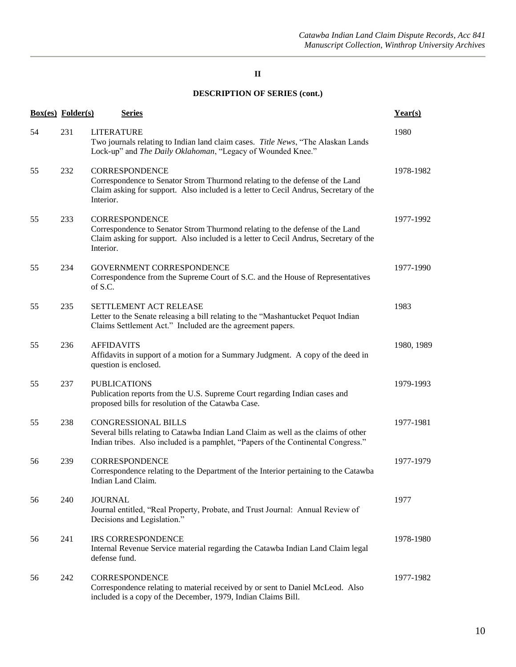|    | <b>Box(es)</b> Folder(s) |                   | <b>Series</b>                               |                                                                                                                                                                           |  |  | Year(s)    |
|----|--------------------------|-------------------|---------------------------------------------|---------------------------------------------------------------------------------------------------------------------------------------------------------------------------|--|--|------------|
| 54 | 231                      | <b>LITERATURE</b> |                                             | Two journals relating to Indian land claim cases. Title News, "The Alaskan Lands<br>Lock-up" and The Daily Oklahoman, "Legacy of Wounded Knee."                           |  |  | 1980       |
| 55 | 232                      | Interior.         | <b>CORRESPONDENCE</b>                       | Correspondence to Senator Strom Thurmond relating to the defense of the Land<br>Claim asking for support. Also included is a letter to Cecil Andrus, Secretary of the     |  |  | 1978-1982  |
| 55 | 233                      | Interior.         | <b>CORRESPONDENCE</b>                       | Correspondence to Senator Strom Thurmond relating to the defense of the Land<br>Claim asking for support. Also included is a letter to Cecil Andrus, Secretary of the     |  |  | 1977-1992  |
| 55 | 234                      | of S.C.           |                                             | GOVERNMENT CORRESPONDENCE<br>Correspondence from the Supreme Court of S.C. and the House of Representatives                                                               |  |  | 1977-1990  |
| 55 | 235                      |                   |                                             | SETTLEMENT ACT RELEASE<br>Letter to the Senate releasing a bill relating to the "Mashantucket Pequot Indian<br>Claims Settlement Act." Included are the agreement papers. |  |  | 1983       |
| 55 | 236                      | <b>AFFIDAVITS</b> | question is enclosed.                       | Affidavits in support of a motion for a Summary Judgment. A copy of the deed in                                                                                           |  |  | 1980, 1989 |
| 55 | 237                      |                   | <b>PUBLICATIONS</b>                         | Publication reports from the U.S. Supreme Court regarding Indian cases and<br>proposed bills for resolution of the Catawba Case.                                          |  |  | 1979-1993  |
| 55 | 238                      |                   | <b>CONGRESSIONAL BILLS</b>                  | Several bills relating to Catawba Indian Land Claim as well as the claims of other<br>Indian tribes. Also included is a pamphlet, "Papers of the Continental Congress."   |  |  | 1977-1981  |
| 56 | 239                      |                   | <b>CORRESPONDENCE</b><br>Indian Land Claim. | Correspondence relating to the Department of the Interior pertaining to the Catawba                                                                                       |  |  | 1977-1979  |
| 56 | 240                      | <b>JOURNAL</b>    | Decisions and Legislation."                 | Journal entitled, "Real Property, Probate, and Trust Journal: Annual Review of                                                                                            |  |  | 1977       |
| 56 | 241                      | defense fund.     | <b>IRS CORRESPONDENCE</b>                   | Internal Revenue Service material regarding the Catawba Indian Land Claim legal                                                                                           |  |  | 1978-1980  |
| 56 | 242                      |                   | <b>CORRESPONDENCE</b>                       | Correspondence relating to material received by or sent to Daniel McLeod. Also<br>included is a copy of the December, 1979, Indian Claims Bill.                           |  |  | 1977-1982  |